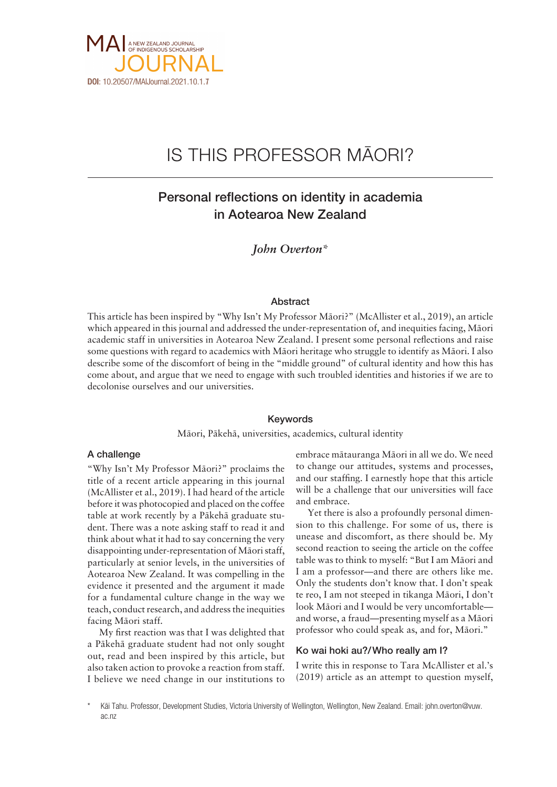

# IS THIS PROFESSOR MÄORI?

## Personal reflections on identity in academia in Aotearoa New Zealand

*John Overton\**

#### Abstract

This article has been inspired by "Why Isn't My Professor Mäori?" (McAllister et al., 2019), an article which appeared in this journal and addressed the under-representation of, and inequities facing, Mäori academic staff in universities in Aotearoa New Zealand. I present some personal reflections and raise some questions with regard to academics with Mäori heritage who struggle to identify as Mäori. I also describe some of the discomfort of being in the "middle ground" of cultural identity and how this has come about, and argue that we need to engage with such troubled identities and histories if we are to decolonise ourselves and our universities.

#### Keywords

Mäori, Päkehä, universities, academics, cultural identity

#### A challenge

"Why Isn't My Professor Mäori?" proclaims the title of a recent article appearing in this journal (McAllister et al., 2019). I had heard of the article before it was photocopied and placed on the coffee table at work recently by a Päkehä graduate student. There was a note asking staff to read it and think about what it had to say concerning the very disappointing under-representation of Mäori staff, particularly at senior levels, in the universities of Aotearoa New Zealand. It was compelling in the evidence it presented and the argument it made for a fundamental culture change in the way we teach, conduct research, and address the inequities facing Mäori staff.

My first reaction was that I was delighted that a Päkehä graduate student had not only sought out, read and been inspired by this article, but also taken action to provoke a reaction from staff. I believe we need change in our institutions to

embrace mätauranga Mäori in all we do. We need to change our attitudes, systems and processes, and our staffing. I earnestly hope that this article will be a challenge that our universities will face and embrace.

Yet there is also a profoundly personal dimension to this challenge. For some of us, there is unease and discomfort, as there should be. My second reaction to seeing the article on the coffee table was to think to myself: "But I am Mäori and I am a professor—and there are others like me. Only the students don't know that. I don't speak te reo, I am not steeped in tikanga Mäori, I don't look Mäori and I would be very uncomfortable and worse, a fraud—presenting myself as a Mäori professor who could speak as, and for, Mäori."

### Ko wai hoki au?/Who really am I?

I write this in response to Tara McAllister et al.'s (2019) article as an attempt to question myself,

Käi Tahu. Professor, Development Studies, Victoria University of Wellington, Wellington, New Zealand. Email: [john.overton@vuw.](about:blank) [ac.nz](about:blank)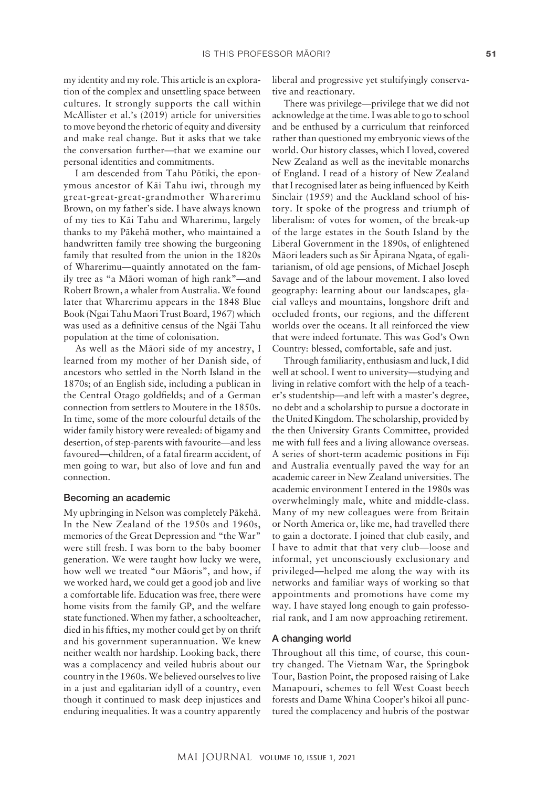my identity and my role. This article is an exploration of the complex and unsettling space between cultures. It strongly supports the call within McAllister et al.'s (2019) article for universities to move beyond the rhetoric of equity and diversity and make real change. But it asks that we take the conversation further—that we examine our personal identities and commitments.

I am descended from Tahu Pötiki, the eponymous ancestor of Käi Tahu iwi, through my great-great-great-grandmother Wharerimu Brown, on my father's side. I have always known of my ties to Käi Tahu and Wharerimu, largely thanks to my Päkehä mother, who maintained a handwritten family tree showing the burgeoning family that resulted from the union in the 1820s of Wharerimu—quaintly annotated on the family tree as "a Mäori woman of high rank"—and Robert Brown, a whaler from Australia. We found later that Wharerimu appears in the 1848 Blue Book (Ngai Tahu Maori Trust Board, 1967) which was used as a definitive census of the Ngäi Tahu population at the time of colonisation.

As well as the Mäori side of my ancestry, I learned from my mother of her Danish side, of ancestors who settled in the North Island in the 1870s; of an English side, including a publican in the Central Otago goldfields; and of a German connection from settlers to Moutere in the 1850s. In time, some of the more colourful details of the wider family history were revealed: of bigamy and desertion, of step-parents with favourite—and less favoured—children, of a fatal firearm accident, of men going to war, but also of love and fun and connection.

#### Becoming an academic

My upbringing in Nelson was completely Päkehä. In the New Zealand of the 1950s and 1960s, memories of the Great Depression and "the War" were still fresh. I was born to the baby boomer generation. We were taught how lucky we were, how well we treated "our Mäoris", and how, if we worked hard, we could get a good job and live a comfortable life. Education was free, there were home visits from the family GP, and the welfare state functioned. When my father, a schoolteacher, died in his fifties, my mother could get by on thrift and his government superannuation. We knew neither wealth nor hardship. Looking back, there was a complacency and veiled hubris about our country in the 1960s. We believed ourselves to live in a just and egalitarian idyll of a country, even though it continued to mask deep injustices and enduring inequalities. It was a country apparently liberal and progressive yet stultifyingly conservative and reactionary.

There was privilege—privilege that we did not acknowledge at the time. I was able to go to school and be enthused by a curriculum that reinforced rather than questioned my embryonic views of the world. Our history classes, which I loved, covered New Zealand as well as the inevitable monarchs of England. I read of a history of New Zealand that I recognised later as being influenced by Keith Sinclair (1959) and the Auckland school of history. It spoke of the progress and triumph of liberalism: of votes for women, of the break-up of the large estates in the South Island by the Liberal Government in the 1890s, of enlightened Mäori leaders such as Sir Äpirana Ngata, of egalitarianism, of old age pensions, of Michael Joseph Savage and of the labour movement. I also loved geography: learning about our landscapes, glacial valleys and mountains, longshore drift and occluded fronts, our regions, and the different worlds over the oceans. It all reinforced the view that were indeed fortunate. This was God's Own Country: blessed, comfortable, safe and just.

Through familiarity, enthusiasm and luck, I did well at school. I went to university—studying and living in relative comfort with the help of a teacher's studentship—and left with a master's degree, no debt and a scholarship to pursue a doctorate in the United Kingdom. The scholarship, provided by the then University Grants Committee, provided me with full fees and a living allowance overseas. A series of short-term academic positions in Fiji and Australia eventually paved the way for an academic career in New Zealand universities. The academic environment I entered in the 1980s was overwhelmingly male, white and middle-class. Many of my new colleagues were from Britain or North America or, like me, had travelled there to gain a doctorate. I joined that club easily, and I have to admit that that very club—loose and informal, yet unconsciously exclusionary and privileged—helped me along the way with its networks and familiar ways of working so that appointments and promotions have come my way. I have stayed long enough to gain professorial rank, and I am now approaching retirement.

#### A changing world

Throughout all this time, of course, this country changed. The Vietnam War, the Springbok Tour, Bastion Point, the proposed raising of Lake Manapouri, schemes to fell West Coast beech forests and Dame Whina Cooper's hikoi all punctured the complacency and hubris of the postwar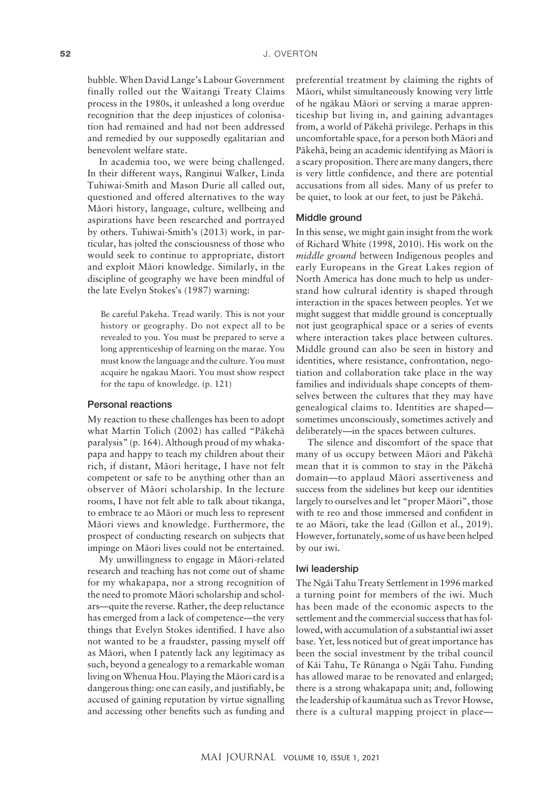bubble. When David Lange's Labour Government finally rolled out the Waitangi Treaty Claims process in the 1980s, it unleashed a long overdue recognition that the deep injustices of colonisation had remained and had not been addressed and remedied by our supposedly egalitarian and benevolent welfare state.

In academia too, we were being challenged. In their different ways, Ranginui Walker, Linda Tuhiwai-Smith and Mason Durie all called out, questioned and offered alternatives to the way Mäori history, language, culture, wellbeing and aspirations have been researched and portrayed by others. Tuhiwai-Smith's (2013) work, in particular, has jolted the consciousness of those who would seek to continue to appropriate, distort and exploit Mäori knowledge. Similarly, in the discipline of geography we have been mindful of the late Evelyn Stokes's (1987) warning:

Be careful Pakeha. Tread warily. This is not your history or geography. Do not expect all to be revealed to you. You must be prepared to serve a long apprenticeship of learning on the marae. You must know the language and the culture. You must acquire he ngakau Maori. You must show respect for the tapu of knowledge. (p. 121)

#### Personal reactions

My reaction to these challenges has been to adopt what Martin Tolich (2002) has called "Päkehä paralysis" (p. 164). Although proud of my whakapapa and happy to teach my children about their rich, if distant, Mäori heritage, I have not felt competent or safe to be anything other than an observer of Mäori scholarship. In the lecture rooms, I have not felt able to talk about tikanga, to embrace te ao Mäori or much less to represent Mäori views and knowledge. Furthermore, the prospect of conducting research on subjects that impinge on Mäori lives could not be entertained.

My unwillingness to engage in Mäori-related research and teaching has not come out of shame for my whakapapa, nor a strong recognition of the need to promote Mäori scholarship and scholars—quite the reverse. Rather, the deep reluctance has emerged from a lack of competence—the very things that Evelyn Stokes identified. I have also not wanted to be a fraudster, passing myself off as Mäori, when I patently lack any legitimacy as such, beyond a genealogy to a remarkable woman living on Whenua Hou. Playing the Mäori card is a dangerous thing: one can easily, and justifiably, be accused of gaining reputation by virtue signalling and accessing other benefits such as funding and

preferential treatment by claiming the rights of Mäori, whilst simultaneously knowing very little of he ngäkau Mäori or serving a marae apprenticeship but living in, and gaining advantages from, a world of Päkehä privilege. Perhaps in this uncomfortable space, for a person both Mäori and Päkehä, being an academic identifying as Mäori is a scary proposition. There are many dangers, there is very little confidence, and there are potential accusations from all sides. Many of us prefer to be quiet, to look at our feet, to just be Päkehä.

#### Middle ground

In this sense, we might gain insight from the work of Richard White (1998, 2010). His work on the *middle ground* between Indigenous peoples and early Europeans in the Great Lakes region of North America has done much to help us understand how cultural identity is shaped through interaction in the spaces between peoples. Yet we might suggest that middle ground is conceptually not just geographical space or a series of events where interaction takes place between cultures. Middle ground can also be seen in history and identities, where resistance, confrontation, negotiation and collaboration take place in the way families and individuals shape concepts of themselves between the cultures that they may have genealogical claims to. Identities are shaped sometimes unconsciously, sometimes actively and deliberately—in the spaces between cultures.

The silence and discomfort of the space that many of us occupy between Mäori and Päkehä mean that it is common to stay in the Päkehä domain—to applaud Mäori assertiveness and success from the sidelines but keep our identities largely to ourselves and let "proper Mäori", those with te reo and those immersed and confident in te ao Mäori, take the lead (Gillon et al., 2019). However, fortunately, some of us have been helped by our iwi.

#### Iwi leadership

The Ngäi Tahu Treaty Settlement in 1996 marked a turning point for members of the iwi. Much has been made of the economic aspects to the settlement and the commercial success that has followed, with accumulation of a substantial iwi asset base. Yet, less noticed but of great importance has been the social investment by the tribal council of Käi Tahu, Te Rünanga o Ngäi Tahu. Funding has allowed marae to be renovated and enlarged; there is a strong whakapapa unit; and, following the leadership of kaumätua such as Trevor Howse, there is a cultural mapping project in place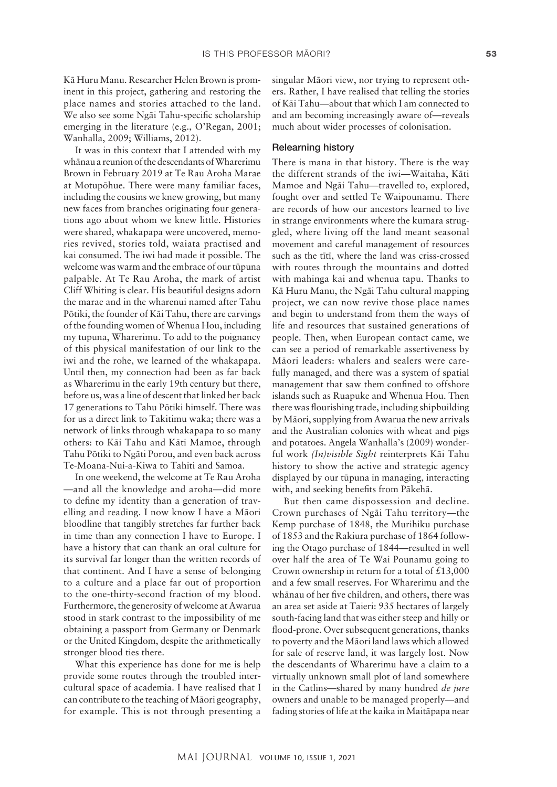Kä Huru Manu. Researcher Helen Brown is prominent in this project, gathering and restoring the place names and stories attached to the land. We also see some Ngäi Tahu-specific scholarship emerging in the literature (e.g., O'Regan, 2001; Wanhalla, 2009; Williams, 2012).

It was in this context that I attended with my whänau a reunion of the descendants of Wharerimu Brown in February 2019 at Te Rau Aroha Marae at Motupöhue. There were many familiar faces, including the cousins we knew growing, but many new faces from branches originating four generations ago about whom we knew little. Histories were shared, whakapapa were uncovered, memories revived, stories told, waiata practised and kai consumed. The iwi had made it possible. The welcome was warm and the embrace of our tüpuna palpable. At Te Rau Aroha, the mark of artist Cliff Whiting is clear. His beautiful designs adorn the marae and in the wharenui named after Tahu Pötiki, the founder of Käi Tahu, there are carvings of the founding women of Whenua Hou, including my tupuna, Wharerimu. To add to the poignancy of this physical manifestation of our link to the iwi and the rohe, we learned of the whakapapa. Until then, my connection had been as far back as Wharerimu in the early 19th century but there, before us, was a line of descent that linked her back 17 generations to Tahu Pötiki himself. There was for us a direct link to Takitimu waka; there was a network of links through whakapapa to so many others: to Käi Tahu and Käti Mamoe, through Tahu Pötiki to Ngäti Porou, and even back across Te-Moana-Nui-a-Kiwa to Tahiti and Samoa.

In one weekend, the welcome at Te Rau Aroha —and all the knowledge and aroha—did more to define my identity than a generation of travelling and reading. I now know I have a Mäori bloodline that tangibly stretches far further back in time than any connection I have to Europe. I have a history that can thank an oral culture for its survival far longer than the written records of that continent. And I have a sense of belonging to a culture and a place far out of proportion to the one-thirty-second fraction of my blood. Furthermore, the generosity of welcome at Awarua stood in stark contrast to the impossibility of me obtaining a passport from Germany or Denmark or the United Kingdom, despite the arithmetically stronger blood ties there.

What this experience has done for me is help provide some routes through the troubled intercultural space of academia. I have realised that I can contribute to the teaching of Mäori geography, for example. This is not through presenting a singular Mäori view, nor trying to represent others. Rather, I have realised that telling the stories of Käi Tahu—about that which I am connected to and am becoming increasingly aware of—reveals much about wider processes of colonisation.

#### Relearning history

There is mana in that history. There is the way the different strands of the iwi—Waitaha, Käti Mamoe and Ngäi Tahu—travelled to, explored, fought over and settled Te Waipounamu. There are records of how our ancestors learned to live in strange environments where the kumara struggled, where living off the land meant seasonal movement and careful management of resources such as the tïtï, where the land was criss-crossed with routes through the mountains and dotted with mahinga kai and whenua tapu. Thanks to Kä Huru Manu, the Ngäi Tahu cultural mapping project, we can now revive those place names and begin to understand from them the ways of life and resources that sustained generations of people. Then, when European contact came, we can see a period of remarkable assertiveness by Mäori leaders: whalers and sealers were carefully managed, and there was a system of spatial management that saw them confined to offshore islands such as Ruapuke and Whenua Hou. Then there was flourishing trade, including shipbuilding by Mäori, supplying from Awarua the new arrivals and the Australian colonies with wheat and pigs and potatoes. Angela Wanhalla's (2009) wonderful work *(In)visible Sight* reinterprets Käi Tahu history to show the active and strategic agency displayed by our tüpuna in managing, interacting with, and seeking benefits from Päkehä.

But then came dispossession and decline. Crown purchases of Ngäi Tahu territory—the Kemp purchase of 1848, the Murihiku purchase of 1853 and the Rakiura purchase of 1864 following the Otago purchase of 1844—resulted in well over half the area of Te Wai Pounamu going to Crown ownership in return for a total of  $£13,000$ and a few small reserves. For Wharerimu and the whänau of her five children, and others, there was an area set aside at Taieri: 935 hectares of largely south-facing land that was either steep and hilly or flood-prone. Over subsequent generations, thanks to poverty and the Mäori land laws which allowed for sale of reserve land, it was largely lost. Now the descendants of Wharerimu have a claim to a virtually unknown small plot of land somewhere in the Catlins—shared by many hundred *de jure* owners and unable to be managed properly—and fading stories of life at the kaika in Maitäpapa near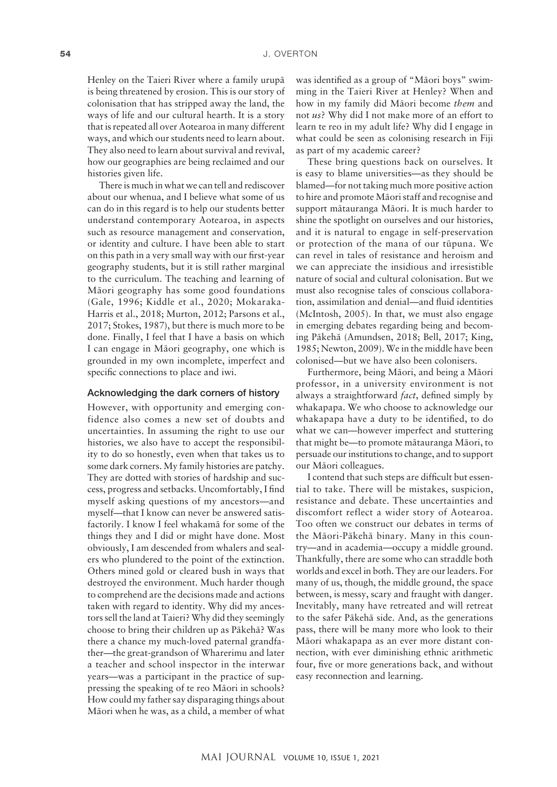Henley on the Taieri River where a family urupä is being threatened by erosion. This is our story of colonisation that has stripped away the land, the ways of life and our cultural hearth. It is a story that is repeated all over Aotearoa in many different ways, and which our students need to learn about. They also need to learn about survival and revival, how our geographies are being reclaimed and our histories given life.

There is much in what we can tell and rediscover about our whenua, and I believe what some of us can do in this regard is to help our students better understand contemporary Aotearoa, in aspects such as resource management and conservation, or identity and culture. I have been able to start on this path in a very small way with our first-year geography students, but it is still rather marginal to the curriculum. The teaching and learning of Mäori geography has some good foundations (Gale, 1996; Kiddle et al., 2020; Mokaraka-Harris et al., 2018; Murton, 2012; Parsons et al., 2017; Stokes, 1987), but there is much more to be done. Finally, I feel that I have a basis on which I can engage in Mäori geography, one which is grounded in my own incomplete, imperfect and specific connections to place and iwi.

#### Acknowledging the dark corners of history

However, with opportunity and emerging confidence also comes a new set of doubts and uncertainties. In assuming the right to use our histories, we also have to accept the responsibility to do so honestly, even when that takes us to some dark corners. My family histories are patchy. They are dotted with stories of hardship and success, progress and setbacks. Uncomfortably, I find myself asking questions of my ancestors—and myself—that I know can never be answered satisfactorily. I know I feel whakamä for some of the things they and I did or might have done. Most obviously, I am descended from whalers and sealers who plundered to the point of the extinction. Others mined gold or cleared bush in ways that destroyed the environment. Much harder though to comprehend are the decisions made and actions taken with regard to identity. Why did my ancestors sell the land at Taieri? Why did they seemingly choose to bring their children up as Päkehä? Was there a chance my much-loved paternal grandfather—the great-grandson of Wharerimu and later a teacher and school inspector in the interwar years—was a participant in the practice of suppressing the speaking of te reo Mäori in schools? How could my father say disparaging things about Mäori when he was, as a child, a member of what

was identified as a group of "Mäori boys" swimming in the Taieri River at Henley? When and how in my family did Mäori become *them* and not *us*? Why did I not make more of an effort to learn te reo in my adult life? Why did I engage in what could be seen as colonising research in Fiji as part of my academic career?

These bring questions back on ourselves. It is easy to blame universities—as they should be blamed—for not taking much more positive action to hire and promote Mäori staff and recognise and support mätauranga Mäori. It is much harder to shine the spotlight on ourselves and our histories, and it is natural to engage in self-preservation or protection of the mana of our tüpuna. We can revel in tales of resistance and heroism and we can appreciate the insidious and irresistible nature of social and cultural colonisation. But we must also recognise tales of conscious collaboration, assimilation and denial—and fluid identities (McIntosh, 2005). In that, we must also engage in emerging debates regarding being and becoming Päkehä (Amundsen, 2018; Bell, 2017; King, 1985; Newton, 2009). We in the middle have been colonised—but we have also been colonisers.

Furthermore, being Mäori, and being a Mäori professor, in a university environment is not always a straightforward *fact*, defined simply by whakapapa. We who choose to acknowledge our whakapapa have a duty to be identified, to do what we can—however imperfect and stuttering that might be—to promote mätauranga Mäori, to persuade our institutions to change, and to support our Mäori colleagues.

I contend that such steps are difficult but essential to take. There will be mistakes, suspicion, resistance and debate. These uncertainties and discomfort reflect a wider story of Aotearoa. Too often we construct our debates in terms of the Mäori-Päkehä binary. Many in this country—and in academia—occupy a middle ground. Thankfully, there are some who can straddle both worlds and excel in both. They are our leaders. For many of us, though, the middle ground, the space between, is messy, scary and fraught with danger. Inevitably, many have retreated and will retreat to the safer Päkehä side. And, as the generations pass, there will be many more who look to their Mäori whakapapa as an ever more distant connection, with ever diminishing ethnic arithmetic four, five or more generations back, and without easy reconnection and learning.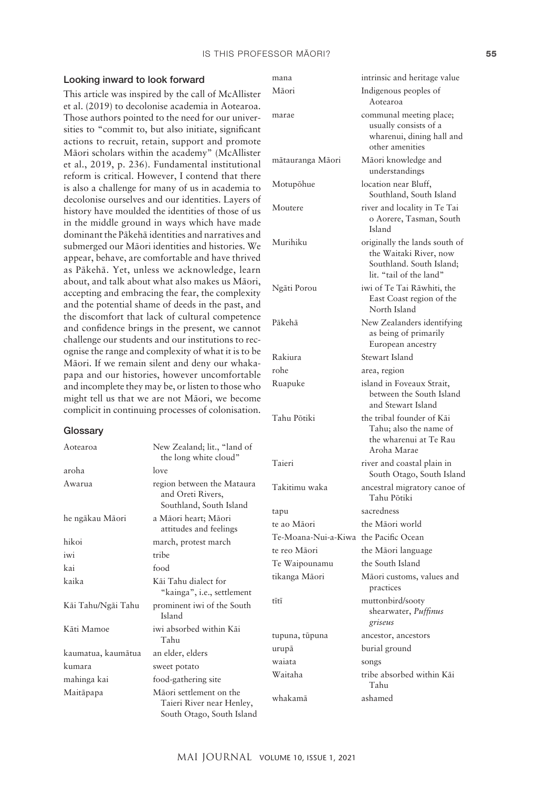#### IS THIS PROFESSOR MĀORI? **55**

mana intrinsic and heritage value Mäori Indigenous peoples of

marae communal meeting place;

mätauranga Mäori Mäori knowledge and

Aotearoa

usually consists of a wharenui, dining hall and

other amenities

understandings

#### Looking inward to look forward

This article was inspired by the call of McAllister et al. (2019) to decolonise academia in Aotearoa. Those authors pointed to the need for our universities to "commit to, but also initiate, significant actions to recruit, retain, support and promote Mäori scholars within the academy" (McAllister et al., 2019, p. 236). Fundamental institutional reform is critical. However, I contend that there is also a challenge for  $\overline{\phantom{a}}$ decolonise ourselves an history have moulded t in the middle ground dominant the Päkehä id submerged our Māori i appear, behave, are cor as Pākehā. Yet, unles about, and talk about y accepting and embracing and the potential sham the discomfort that lack and confidence brings challenge our students ognise the range and complexity of the range and complexity of  $\alpha$ Māori. If we remain si papa and our histories and incomplete they may might tell us that we a complicit in continuing

#### **Glossary**

| is also a challenge for many of us in academia to<br>decolonise ourselves and our identities. Layers of<br>history have moulded the identities of those of us<br>in the middle ground in ways which have made<br>dominant the Pākehā identities and narratives and<br>submerged our Māori identities and histories. We<br>appear, behave, are comfortable and have thrived<br>as Pākehā. Yet, unless we acknowledge, learn<br>about, and talk about what also makes us Māori,<br>accepting and embracing the fear, the complexity<br>and the potential shame of deeds in the past, and<br>the discomfort that lack of cultural competence<br>and confidence brings in the present, we cannot<br>challenge our students and our institutions to rec-<br>ognise the range and complexity of what it is to be<br>Māori. If we remain silent and deny our whaka-<br>papa and our histories, however uncomfortable<br>and incomplete they may be, or listen to those who<br>might tell us that we are not Māori, we become |                                                                            | Motupohue                             | location near Bluff,<br>Southland, South Island                                                                |
|-----------------------------------------------------------------------------------------------------------------------------------------------------------------------------------------------------------------------------------------------------------------------------------------------------------------------------------------------------------------------------------------------------------------------------------------------------------------------------------------------------------------------------------------------------------------------------------------------------------------------------------------------------------------------------------------------------------------------------------------------------------------------------------------------------------------------------------------------------------------------------------------------------------------------------------------------------------------------------------------------------------------------|----------------------------------------------------------------------------|---------------------------------------|----------------------------------------------------------------------------------------------------------------|
|                                                                                                                                                                                                                                                                                                                                                                                                                                                                                                                                                                                                                                                                                                                                                                                                                                                                                                                                                                                                                       |                                                                            | Moutere                               | river and locality in Te Tai<br>o Aorere, Tasman, South<br>Island                                              |
|                                                                                                                                                                                                                                                                                                                                                                                                                                                                                                                                                                                                                                                                                                                                                                                                                                                                                                                                                                                                                       |                                                                            | Murihiku                              | originally the lands south of<br>the Waitaki River, now<br>Southland. South Island;<br>lit. "tail of the land" |
|                                                                                                                                                                                                                                                                                                                                                                                                                                                                                                                                                                                                                                                                                                                                                                                                                                                                                                                                                                                                                       |                                                                            | Ngāti Porou                           | iwi of Te Tai Rāwhiti, the<br>East Coast region of the<br>North Island                                         |
|                                                                                                                                                                                                                                                                                                                                                                                                                                                                                                                                                                                                                                                                                                                                                                                                                                                                                                                                                                                                                       |                                                                            | Pākehā                                | New Zealanders identifying<br>as being of primarily<br>European ancestry                                       |
|                                                                                                                                                                                                                                                                                                                                                                                                                                                                                                                                                                                                                                                                                                                                                                                                                                                                                                                                                                                                                       |                                                                            | Rakiura                               | Stewart Island                                                                                                 |
|                                                                                                                                                                                                                                                                                                                                                                                                                                                                                                                                                                                                                                                                                                                                                                                                                                                                                                                                                                                                                       |                                                                            | rohe                                  | area, region                                                                                                   |
|                                                                                                                                                                                                                                                                                                                                                                                                                                                                                                                                                                                                                                                                                                                                                                                                                                                                                                                                                                                                                       |                                                                            | Ruapuke                               | island in Foveaux Strait,<br>between the South Island<br>and Stewart Island                                    |
| complicit in continuing processes of colonisation.<br>Glossary                                                                                                                                                                                                                                                                                                                                                                                                                                                                                                                                                                                                                                                                                                                                                                                                                                                                                                                                                        |                                                                            | Tahu Pōtiki                           | the tribal founder of Kāi<br>Tahu; also the name of                                                            |
| Aotearoa                                                                                                                                                                                                                                                                                                                                                                                                                                                                                                                                                                                                                                                                                                                                                                                                                                                                                                                                                                                                              | New Zealand; lit., "land of<br>the long white cloud"                       |                                       | the wharenui at Te Rau<br>Aroha Marae                                                                          |
| aroha                                                                                                                                                                                                                                                                                                                                                                                                                                                                                                                                                                                                                                                                                                                                                                                                                                                                                                                                                                                                                 | love                                                                       | Taieri                                | river and coastal plain in<br>South Otago, South Island                                                        |
| Awarua                                                                                                                                                                                                                                                                                                                                                                                                                                                                                                                                                                                                                                                                                                                                                                                                                                                                                                                                                                                                                | region between the Mataura<br>and Oreti Rivers,<br>Southland, South Island | Takitimu waka                         | ancestral migratory canoe of<br>Tahu Pōtiki                                                                    |
| he ngākau Māori                                                                                                                                                                                                                                                                                                                                                                                                                                                                                                                                                                                                                                                                                                                                                                                                                                                                                                                                                                                                       | a Māori heart; Māori                                                       | tapu                                  | sacredness                                                                                                     |
|                                                                                                                                                                                                                                                                                                                                                                                                                                                                                                                                                                                                                                                                                                                                                                                                                                                                                                                                                                                                                       | attitudes and feelings                                                     | te ao Māori                           | the Māori world                                                                                                |
| hikoi                                                                                                                                                                                                                                                                                                                                                                                                                                                                                                                                                                                                                                                                                                                                                                                                                                                                                                                                                                                                                 | march, protest march                                                       | Te-Moana-Nui-a-Kiwa the Pacific Ocean |                                                                                                                |
| iwi                                                                                                                                                                                                                                                                                                                                                                                                                                                                                                                                                                                                                                                                                                                                                                                                                                                                                                                                                                                                                   | tribe                                                                      | te reo Māori                          | the Māori language                                                                                             |
| kai                                                                                                                                                                                                                                                                                                                                                                                                                                                                                                                                                                                                                                                                                                                                                                                                                                                                                                                                                                                                                   | food                                                                       | Te Waipounamu                         | the South Island                                                                                               |
| kaika                                                                                                                                                                                                                                                                                                                                                                                                                                                                                                                                                                                                                                                                                                                                                                                                                                                                                                                                                                                                                 | Kāi Tahu dialect for<br>"kainga", i.e., settlement                         | tikanga Māori                         | Māori customs, values and<br>practices                                                                         |
| Kāi Tahu/Ngāi Tahu                                                                                                                                                                                                                                                                                                                                                                                                                                                                                                                                                                                                                                                                                                                                                                                                                                                                                                                                                                                                    | prominent iwi of the South<br>Island                                       | tītī                                  | muttonbird/sooty<br>shearwater, Puffinus<br>griseus                                                            |
| Kāti Mamoe                                                                                                                                                                                                                                                                                                                                                                                                                                                                                                                                                                                                                                                                                                                                                                                                                                                                                                                                                                                                            | iwi absorbed within Kāi                                                    | tupuna, tūpuna                        | ancestor, ancestors                                                                                            |
|                                                                                                                                                                                                                                                                                                                                                                                                                                                                                                                                                                                                                                                                                                                                                                                                                                                                                                                                                                                                                       | Tahu                                                                       | urupā                                 | burial ground                                                                                                  |
| kaumatua, kaumātua                                                                                                                                                                                                                                                                                                                                                                                                                                                                                                                                                                                                                                                                                                                                                                                                                                                                                                                                                                                                    | an elder, elders                                                           | waiata                                | songs                                                                                                          |
| kumara                                                                                                                                                                                                                                                                                                                                                                                                                                                                                                                                                                                                                                                                                                                                                                                                                                                                                                                                                                                                                | sweet potato                                                               | Waitaha                               | tribe absorbed within Kāi                                                                                      |
| mahinga kai                                                                                                                                                                                                                                                                                                                                                                                                                                                                                                                                                                                                                                                                                                                                                                                                                                                                                                                                                                                                           | food-gathering site                                                        |                                       | Tahu                                                                                                           |
| Maitāpapa                                                                                                                                                                                                                                                                                                                                                                                                                                                                                                                                                                                                                                                                                                                                                                                                                                                                                                                                                                                                             | Māori settlement on the                                                    |                                       |                                                                                                                |

whakamä ashamed

Taieri River near Henley, South Otago, South Island